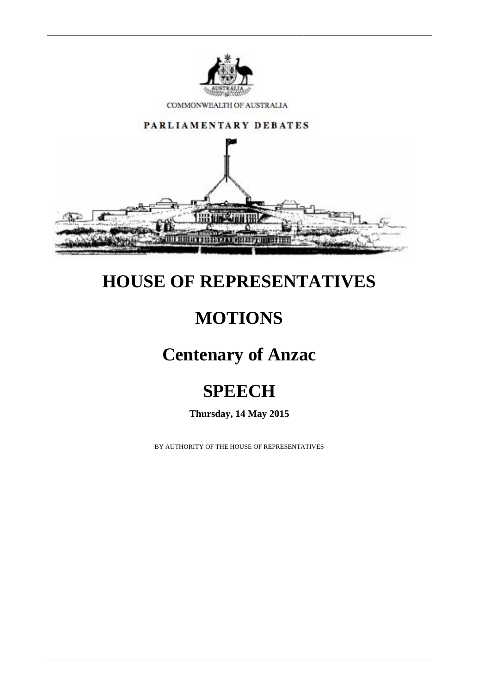

COMMONWEALTH OF AUSTRALIA



## **HOUSE OF REPRESENTATIVES**

## **MOTIONS**

### **Centenary of Anzac**

# **SPEECH**

**Thursday, 14 May 2015**

BY AUTHORITY OF THE HOUSE OF REPRESENTATIVES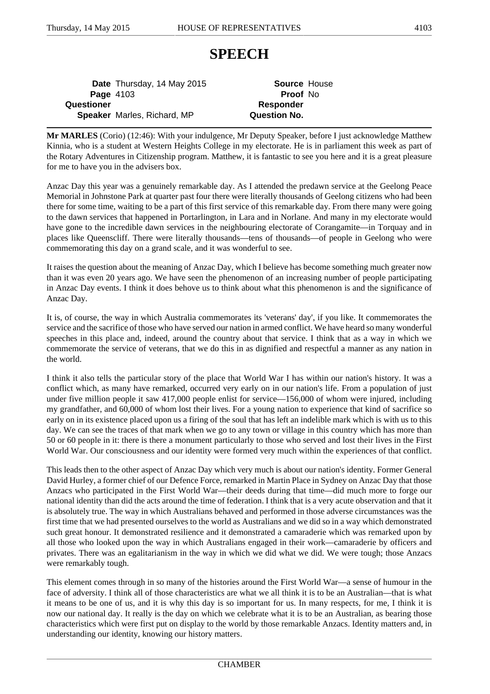#### **SPEECH**

**Date** Thursday, 14 May 2015 **Source** House **Page** 4103 **Proof** No **Questioner** *Responder* **Speaker** Marles, Richard, MP **Question No.**

**Mr MARLES** (Corio) (12:46): With your indulgence, Mr Deputy Speaker, before I just acknowledge Matthew Kinnia, who is a student at Western Heights College in my electorate. He is in parliament this week as part of the Rotary Adventures in Citizenship program. Matthew, it is fantastic to see you here and it is a great pleasure for me to have you in the advisers box.

Anzac Day this year was a genuinely remarkable day. As I attended the predawn service at the Geelong Peace Memorial in Johnstone Park at quarter past four there were literally thousands of Geelong citizens who had been there for some time, waiting to be a part of this first service of this remarkable day. From there many were going to the dawn services that happened in Portarlington, in Lara and in Norlane. And many in my electorate would have gone to the incredible dawn services in the neighbouring electorate of Corangamite—in Torquay and in places like Queenscliff. There were literally thousands—tens of thousands—of people in Geelong who were commemorating this day on a grand scale, and it was wonderful to see.

It raises the question about the meaning of Anzac Day, which I believe has become something much greater now than it was even 20 years ago. We have seen the phenomenon of an increasing number of people participating in Anzac Day events. I think it does behove us to think about what this phenomenon is and the significance of Anzac Day.

It is, of course, the way in which Australia commemorates its 'veterans' day', if you like. It commemorates the service and the sacrifice of those who have served our nation in armed conflict. We have heard so many wonderful speeches in this place and, indeed, around the country about that service. I think that as a way in which we commemorate the service of veterans, that we do this in as dignified and respectful a manner as any nation in the world.

I think it also tells the particular story of the place that World War I has within our nation's history. It was a conflict which, as many have remarked, occurred very early on in our nation's life. From a population of just under five million people it saw 417,000 people enlist for service—156,000 of whom were injured, including my grandfather, and 60,000 of whom lost their lives. For a young nation to experience that kind of sacrifice so early on in its existence placed upon us a firing of the soul that has left an indelible mark which is with us to this day. We can see the traces of that mark when we go to any town or village in this country which has more than 50 or 60 people in it: there is there a monument particularly to those who served and lost their lives in the First World War. Our consciousness and our identity were formed very much within the experiences of that conflict.

This leads then to the other aspect of Anzac Day which very much is about our nation's identity. Former General David Hurley, a former chief of our Defence Force, remarked in Martin Place in Sydney on Anzac Day that those Anzacs who participated in the First World War—their deeds during that time—did much more to forge our national identity than did the acts around the time of federation. I think that is a very acute observation and that it is absolutely true. The way in which Australians behaved and performed in those adverse circumstances was the first time that we had presented ourselves to the world as Australians and we did so in a way which demonstrated such great honour. It demonstrated resilience and it demonstrated a camaraderie which was remarked upon by all those who looked upon the way in which Australians engaged in their work—camaraderie by officers and privates. There was an egalitarianism in the way in which we did what we did. We were tough; those Anzacs were remarkably tough.

This element comes through in so many of the histories around the First World War—a sense of humour in the face of adversity. I think all of those characteristics are what we all think it is to be an Australian—that is what it means to be one of us, and it is why this day is so important for us. In many respects, for me, I think it is now our national day. It really is the day on which we celebrate what it is to be an Australian, as bearing those characteristics which were first put on display to the world by those remarkable Anzacs. Identity matters and, in understanding our identity, knowing our history matters.